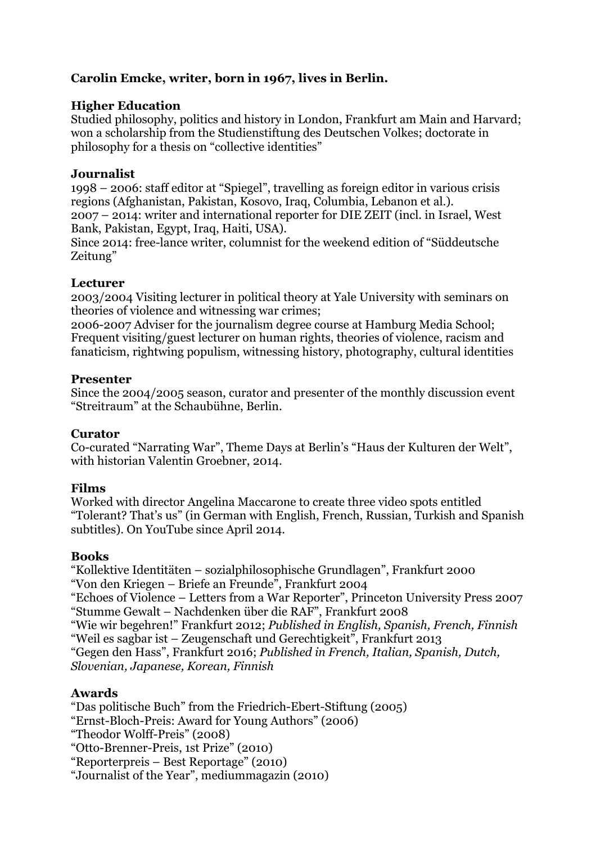# **Carolin Emcke, writer, born in 1967, lives in Berlin.**

## **Higher Education**

Studied philosophy, politics and history in London, Frankfurt am Main and Harvard; won a scholarship from the Studienstiftung des Deutschen Volkes; doctorate in philosophy for a thesis on "collective identities"

#### **Journalist**

1998 – 2006: staff editor at "Spiegel", travelling as foreign editor in various crisis regions (Afghanistan, Pakistan, Kosovo, Iraq, Columbia, Lebanon et al.). 2007 – 2014: writer and international reporter for DIE ZEIT (incl. in Israel, West Bank, Pakistan, Egypt, Iraq, Haiti, USA).

Since 2014: free-lance writer, columnist for the weekend edition of "Süddeutsche Zeitung"

#### **Lecturer**

2003/2004 Visiting lecturer in political theory at Yale University with seminars on theories of violence and witnessing war crimes;

2006-2007 Adviser for the journalism degree course at Hamburg Media School; Frequent visiting/guest lecturer on human rights, theories of violence, racism and fanaticism, rightwing populism, witnessing history, photography, cultural identities

#### **Presenter**

Since the 2004/2005 season, curator and presenter of the monthly discussion event "Streitraum" at the Schaubühne, Berlin.

## **Curator**

Co-curated "Narrating War", Theme Days at Berlin's "Haus der Kulturen der Welt", with historian Valentin Groebner, 2014.

## **Films**

Worked with director Angelina Maccarone to create three video spots entitled "Tolerant? That's us" (in German with English, French, Russian, Turkish and Spanish subtitles). On YouTube since April 2014.

## **Books**

"Kollektive Identitäten – sozialphilosophische Grundlagen", Frankfurt 2000 "Von den Kriegen – Briefe an Freunde", Frankfurt 2004 "Echoes of Violence – Letters from a War Reporter", Princeton University Press 2007 "Stumme Gewalt – Nachdenken über die RAF", Frankfurt 2008 "Wie wir begehren!" Frankfurt 2012; *Published in English, Spanish, French, Finnish* "Weil es sagbar ist – Zeugenschaft und Gerechtigkeit", Frankfurt 2013 "Gegen den Hass", Frankfurt 2016; *Published in French, Italian, Spanish, Dutch, Slovenian, Japanese, Korean, Finnish*

## **Awards**

"Das politische Buch" from the Friedrich-Ebert-Stiftung (2005) "Ernst-Bloch-Preis: Award for Young Authors" (2006) "Theodor Wolff-Preis" (2008) "Otto-Brenner-Preis, 1st Prize" (2010) "Reporterpreis – Best Reportage" (2010) "Journalist of the Year", mediummagazin (2010)